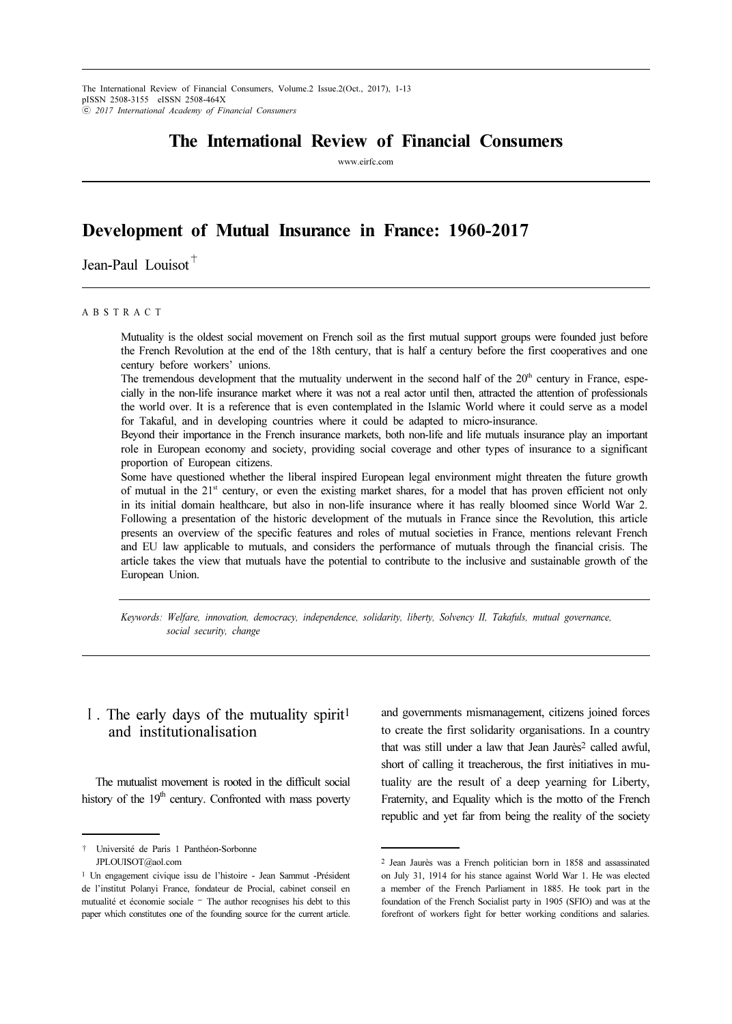# The International Review of Financial Consumers

www.eirfc.com

# Development of Mutual Insurance in France: 1960-2017

Jean-Paul Louisot<sup>+</sup>

#### A B S T R A C T

Mutuality is the oldest social movement on French soil as the first mutual support groups were founded just before the French Revolution at the end of the 18th century, that is half a century before the first cooperatives and one century before workers' unions.

The tremendous development that the mutuality underwent in the second half of the  $20<sup>th</sup>$  century in France, especially in the non-life insurance market where it was not a real actor until then, attracted the attention of professionals the world over. It is a reference that is even contemplated in the Islamic World where it could serve as a model for Takaful, and in developing countries where it could be adapted to micro-insurance.

Beyond their importance in the French insurance markets, both non-life and life mutuals insurance play an important role in European economy and society, providing social coverage and other types of insurance to a significant proportion of European citizens.

Some have questioned whether the liberal inspired European legal environment might threaten the future growth of mutual in the  $21<sup>st</sup>$  century, or even the existing market shares, for a model that has proven efficient not only in its initial domain healthcare, but also in non-life insurance where it has really bloomed since World War 2. Following a presentation of the historic development of the mutuals in France since the Revolution, this article presents an overview of the specific features and roles of mutual societies in France, mentions relevant French and EU law applicable to mutuals, and considers the performance of mutuals through the financial crisis. The article takes the view that mutuals have the potential to contribute to the inclusive and sustainable growth of the European Union.

Keywords: Welfare, innovation, democracy, independence, solidarity, liberty, Solvency II, Takafuls, mutual governance, social security, change

## Ⅰ. The early days of the mutuality spirit<sup>1</sup> and institutionalisation

The mutualist movement is rooted in the difficult social history of the  $19<sup>th</sup>$  century. Confronted with mass poverty and governments mismanagement, citizens joined forces to create the first solidarity organisations. In a country that was still under a law that Jean Jaurès<sup>2</sup> called awful, short of calling it treacherous, the first initiatives in mutuality are the result of a deep yearning for Liberty, Fraternity, and Equality which is the motto of the French republic and yet far from being the reality of the society

<sup>†</sup> Université de Paris 1 Panthéon-Sorbonne JPLOUISOT@aol.com

<sup>1</sup> Un engagement civique issu de l'histoire - Jean Sammut -Président de l'institut Polanyi France, fondateur de Procial, cabinet conseil en mutualité et économie sociale – The author recognises his debt to this paper which constitutes one of the founding source for the current article.

<sup>2</sup> Jean Jaurès was a French politician born in 1858 and assassinated on July 31, 1914 for his stance against World War 1. He was elected a member of the French Parliament in 1885. He took part in the foundation of the French Socialist party in 1905 (SFIO) and was at the forefront of workers fight for better working conditions and salaries.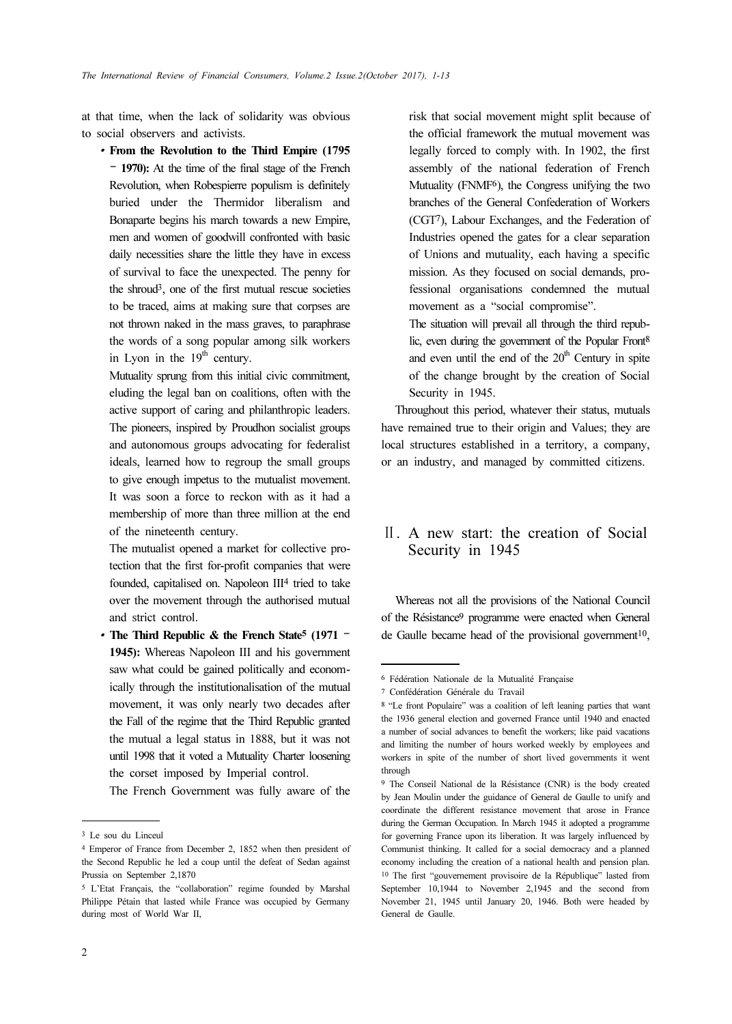at that time, when the lack of solidarity was obvious to social observers and activists. ∙

From the Revolution to the Third Empire (1795 – 1970): At the time of the final stage of the French Revolution, when Robespierre populism is definitely buried under the Thermidor liberalism and Bonaparte begins his march towards a new Empire, men and women of goodwill confronted with basic daily necessities share the little they have in excess of survival to face the unexpected. The penny for the shroud3, one of the first mutual rescue societies to be traced, aims at making sure that corpses are not thrown naked in the mass graves, to paraphrase the words of a song popular among silk workers in Lyon in the  $19<sup>th</sup>$  century.

Mutuality sprung from this initial civic commitment, eluding the legal ban on coalitions, often with the active support of caring and philanthropic leaders. The pioneers, inspired by Proudhon socialist groups and autonomous groups advocating for federalist ideals, learned how to regroup the small groups to give enough impetus to the mutualist movement. It was soon a force to reckon with as it had a membership of more than three million at the end of the nineteenth century.

The mutualist opened a market for collective protection that the first for-profit companies that were founded, capitalised on. Napoleon III4 tried to take over the movement through the authorised mutual and strict control.

• The Third Republic  $&$  the French State<sup>5</sup> (1971 – 1945): Whereas Napoleon III and his government saw what could be gained politically and economically through the institutionalisation of the mutual movement, it was only nearly two decades after the Fall of the regime that the Third Republic granted the mutual a legal status in 1888, but it was not until 1998 that it voted a Mutuality Charter loosening the corset imposed by Imperial control.

The French Government was fully aware of the

risk that social movement might split because of the official framework the mutual movement was legally forced to comply with. In 1902, the first assembly of the national federation of French Mutuality (FNMF6), the Congress unifying the two branches of the General Confederation of Workers (CGT7), Labour Exchanges, and the Federation of Industries opened the gates for a clear separation of Unions and mutuality, each having a specific mission. As they focused on social demands, professional organisations condemned the mutual movement as a "social compromise".

The situation will prevail all through the third republic, even during the government of the Popular Front<sup>8</sup> and even until the end of the  $20<sup>th</sup>$  Century in spite of the change brought by the creation of Social Security in 1945.

Throughout this period, whatever their status, mutuals have remained true to their origin and Values; they are local structures established in a territory, a company, or an industry, and managed by committed citizens.

# Ⅱ. A new start: the creation of Social Security in 1945

Whereas not all the provisions of the National Council of the Résistance9 programme were enacted when General de Gaulle became head of the provisional government<sup>10</sup>,

<sup>3</sup> Le sou du Linceul

<sup>4</sup> Emperor of France from December 2, 1852 when then president of the Second Republic he led a coup until the defeat of Sedan against Prussia on September 2,1870

<sup>5</sup> L'Etat Français, the "collaboration" regime founded by Marshal Philippe Pétain that lasted while France was occupied by Germany during most of World War II,

<sup>6</sup> Fédération Nationale de la Mutualité Française

<sup>7</sup> Confédération Générale du Travail

<sup>8</sup> "Le front Populaire" was a coalition of left leaning parties that want the 1936 general election and governed France until 1940 and enacted a number of social advances to benefit the workers; like paid vacations and limiting the number of hours worked weekly by employees and workers in spite of the number of short lived governments it went through

<sup>9</sup> The Conseil National de la Résistance (CNR) is the body created by Jean Moulin under the guidance of General de Gaulle to unify and coordinate the different resistance movement that arose in France during the German Occupation. In March 1945 it adopted a programme for governing France upon its liberation. It was largely influenced by Communist thinking. It called for a social democracy and a planned economy including the creation of a national health and pension plan. <sup>10</sup> The first "gouvernement provisoire de la République" lasted from September 10,1944 to November 2,1945 and the second from November 21, 1945 until January 20, 1946. Both were headed by General de Gaulle.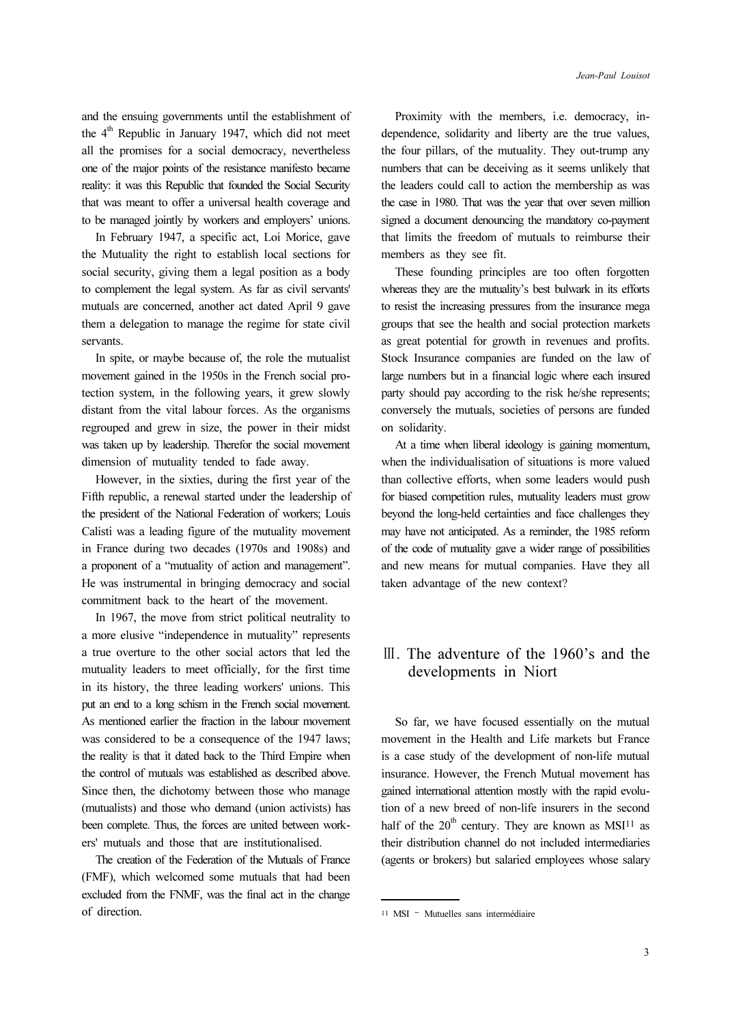and the ensuing governments until the establishment of the  $4<sup>th</sup>$  Republic in January 1947, which did not meet all the promises for a social democracy, nevertheless one of the major points of the resistance manifesto became reality: it was this Republic that founded the Social Security that was meant to offer a universal health coverage and to be managed jointly by workers and employers' unions.

In February 1947, a specific act, Loi Morice, gave the Mutuality the right to establish local sections for social security, giving them a legal position as a body to complement the legal system. As far as civil servants' mutuals are concerned, another act dated April 9 gave them a delegation to manage the regime for state civil servants.

In spite, or maybe because of, the role the mutualist movement gained in the 1950s in the French social protection system, in the following years, it grew slowly distant from the vital labour forces. As the organisms regrouped and grew in size, the power in their midst was taken up by leadership. Therefor the social movement dimension of mutuality tended to fade away.

However, in the sixties, during the first year of the Fifth republic, a renewal started under the leadership of the president of the National Federation of workers; Louis Calisti was a leading figure of the mutuality movement in France during two decades (1970s and 1908s) and a proponent of a "mutuality of action and management". He was instrumental in bringing democracy and social commitment back to the heart of the movement.

In 1967, the move from strict political neutrality to a more elusive "independence in mutuality" represents a true overture to the other social actors that led the mutuality leaders to meet officially, for the first time in its history, the three leading workers' unions. This put an end to a long schism in the French social movement. As mentioned earlier the fraction in the labour movement was considered to be a consequence of the 1947 laws; the reality is that it dated back to the Third Empire when the control of mutuals was established as described above. Since then, the dichotomy between those who manage (mutualists) and those who demand (union activists) has been complete. Thus, the forces are united between workers' mutuals and those that are institutionalised.

The creation of the Federation of the Mutuals of France (FMF), which welcomed some mutuals that had been excluded from the FNMF, was the final act in the change of direction.

Proximity with the members, i.e. democracy, independence, solidarity and liberty are the true values, the four pillars, of the mutuality. They out-trump any numbers that can be deceiving as it seems unlikely that the leaders could call to action the membership as was the case in 1980. That was the year that over seven million signed a document denouncing the mandatory co-payment that limits the freedom of mutuals to reimburse their members as they see fit.

These founding principles are too often forgotten whereas they are the mutuality's best bulwark in its efforts to resist the increasing pressures from the insurance mega groups that see the health and social protection markets as great potential for growth in revenues and profits. Stock Insurance companies are funded on the law of large numbers but in a financial logic where each insured party should pay according to the risk he/she represents; conversely the mutuals, societies of persons are funded on solidarity.

At a time when liberal ideology is gaining momentum, when the individualisation of situations is more valued than collective efforts, when some leaders would push for biased competition rules, mutuality leaders must grow beyond the long-held certainties and face challenges they may have not anticipated. As a reminder, the 1985 reform of the code of mutuality gave a wider range of possibilities and new means for mutual companies. Have they all taken advantage of the new context?

## Ⅲ. The adventure of the 1960's and the developments in Niort

So far, we have focused essentially on the mutual movement in the Health and Life markets but France is a case study of the development of non-life mutual insurance. However, the French Mutual movement has gained international attention mostly with the rapid evolution of a new breed of non-life insurers in the second half of the  $20<sup>th</sup>$  century. They are known as MSI<sup>11</sup> as their distribution channel do not included intermediaries (agents or brokers) but salaried employees whose salary

<sup>11</sup> MSI – Mutuelles sans intermédiaire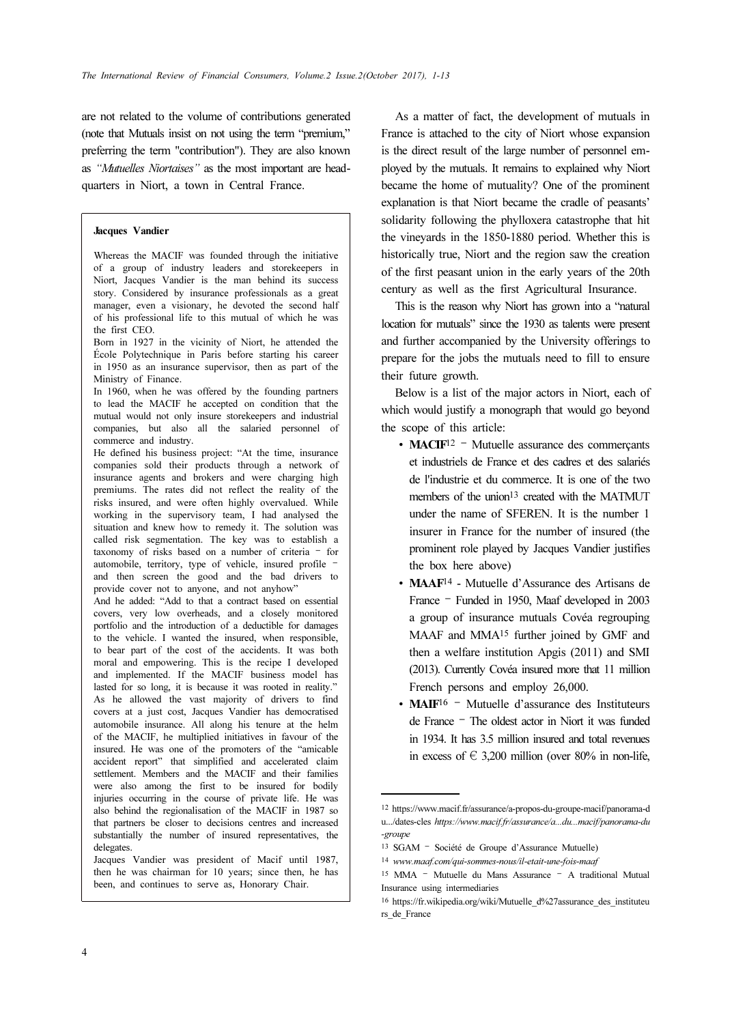are not related to the volume of contributions generated (note that Mutuals insist on not using the term "premium," preferring the term "contribution"). They are also known as "Mutuelles Niortaises" as the most important are headquarters in Niort, a town in Central France.

#### Jacques Vandier

Whereas the MACIF was founded through the initiative of a group of industry leaders and storekeepers in Niort, Jacques Vandier is the man behind its success story. Considered by insurance professionals as a great manager, even a visionary, he devoted the second half of his professional life to this mutual of which he was the first CEO.

Born in 1927 in the vicinity of Niort, he attended the École Polytechnique in Paris before starting his career in 1950 as an insurance supervisor, then as part of the Ministry of Finance.

In 1960, when he was offered by the founding partners to lead the MACIF he accepted on condition that the mutual would not only insure storekeepers and industrial companies, but also all the salaried personnel of commerce and industry.

He defined his business project: "At the time, insurance companies sold their products through a network of insurance agents and brokers and were charging high premiums. The rates did not reflect the reality of the risks insured, and were often highly overvalued. While working in the supervisory team, I had analysed the situation and knew how to remedy it. The solution was called risk segmentation. The key was to establish a taxonomy of risks based on a number of criteria – for automobile, territory, type of vehicle, insured profile – and then screen the good and the bad drivers to provide cover not to anyone, and not anyhow"

And he added: "Add to that a contract based on essential covers, very low overheads, and a closely monitored portfolio and the introduction of a deductible for damages to the vehicle. I wanted the insured, when responsible, to bear part of the cost of the accidents. It was both moral and empowering. This is the recipe I developed and implemented. If the MACIF business model has lasted for so long, it is because it was rooted in reality." As he allowed the vast majority of drivers to find covers at a just cost, Jacques Vandier has democratised automobile insurance. All along his tenure at the helm of the MACIF, he multiplied initiatives in favour of the insured. He was one of the promoters of the "amicable accident report" that simplified and accelerated claim settlement. Members and the MACIF and their families were also among the first to be insured for bodily injuries occurring in the course of private life. He was also behind the regionalisation of the MACIF in 1987 so that partners be closer to decisions centres and increased substantially the number of insured representatives, the delegates.

Jacques Vandier was president of Macif until 1987, then he was chairman for 10 years; since then, he has been, and continues to serve as, Honorary Chair.

As a matter of fact, the development of mutuals in France is attached to the city of Niort whose expansion is the direct result of the large number of personnel employed by the mutuals. It remains to explained why Niort became the home of mutuality? One of the prominent explanation is that Niort became the cradle of peasants' solidarity following the phylloxera catastrophe that hit the vineyards in the 1850-1880 period. Whether this is historically true, Niort and the region saw the creation of the first peasant union in the early years of the 20th century as well as the first Agricultural Insurance.

This is the reason why Niort has grown into a "natural location for mutuals" since the 1930 as talents were present and further accompanied by the University offerings to prepare for the jobs the mutuals need to fill to ensure their future growth.

Below is a list of the major actors in Niort, each of which would justify a monograph that would go beyond the scope of this article:

- ∙ MACIF<sup>12</sup> Mutuelle assurance des commerçants et industriels de France et des cadres et des salariés de l'industrie et du commerce. It is one of the two members of the union<sup>13</sup> created with the MATMUT under the name of SFEREN. It is the number 1 insurer in France for the number of insured (the prominent role played by Jacques Vandier justifies the box here above)
- ∙ MAAF14 Mutuelle d'Assurance des Artisans de France – Funded in 1950, Maaf developed in 2003 a group of insurance mutuals Covéa regrouping MAAF and MMA15 further joined by GMF and then a welfare institution Apgis (2011) and SMI (2013). Currently Covéa insured more that 11 million French persons and employ 26,000.
- MAIF<sup>16</sup> <sup>–</sup> Mutuelle d'assurance des Instituteurs de France – The oldest actor in Niort it was funded in 1934. It has 3.5 million insured and total revenues in excess of  $\in$  3,200 million (over 80% in non-life,

<sup>12</sup> https://www.macif.fr/assurance/a-propos-du-groupe-macif/panorama-d u.../dates-cles https://www.macif.fr/assurance/a...du...macif/panorama-du -groupe

<sup>13</sup> SGAM – Société de Groupe d'Assurance Mutuelle)

<sup>14</sup> www.maaf.com/qui-sommes-nous/il-etait-une-fois-maaf

<sup>15</sup> MMA – Mutuelle du Mans Assurance – A traditional Mutual Insurance using intermediaries

<sup>16</sup> https://fr.wikipedia.org/wiki/Mutuelle\_d%27assurance\_des\_instituteu rs\_de\_France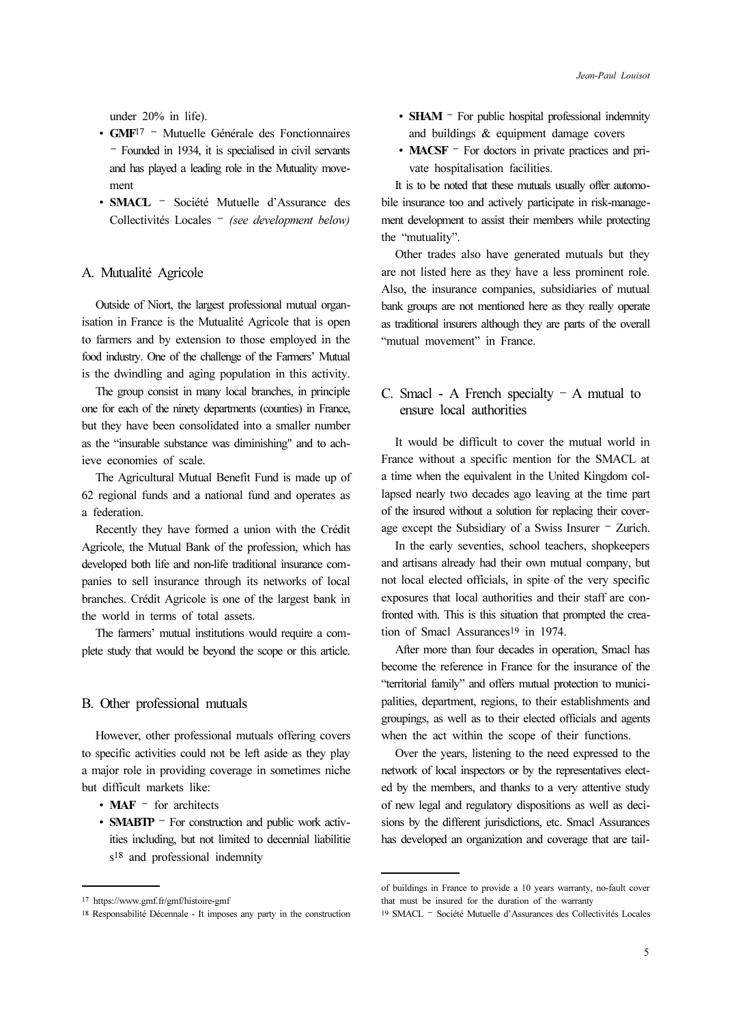under 20% in life).

- ∙ GMF<sup>17</sup> Mutuelle Générale des Fonctionnaires – Founded in 1934, it is specialised in civil servants and has played a leading role in the Mutuality movement
- ∙ SMACL Société Mutuelle d'Assurance des Collectivités Locales – (see development below)

### A. Mutualité Agricole

Outside of Niort, the largest professional mutual organisation in France is the Mutualité Agricole that is open to farmers and by extension to those employed in the food industry. One of the challenge of the Farmers' Mutual is the dwindling and aging population in this activity.

The group consist in many local branches, in principle one for each of the ninety departments (counties) in France, but they have been consolidated into a smaller number as the "insurable substance was diminishing" and to achieve economies of scale.

The Agricultural Mutual Benefit Fund is made up of 62 regional funds and a national fund and operates as a federation.

Recently they have formed a union with the Crédit Agricole, the Mutual Bank of the profession, which has developed both life and non-life traditional insurance companies to sell insurance through its networks of local branches. Crédit Agricole is one of the largest bank in the world in terms of total assets.

The farmers' mutual institutions would require a complete study that would be beyond the scope or this article.

### B. Other professional mutuals

However, other professional mutuals offering covers to specific activities could not be left aside as they play a major role in providing coverage in sometimes niche but difficult markets like:

- MAF <sup>–</sup> for architects
- SMABTP <sup>–</sup> For construction and public work activities including, but not limited to decennial liabilitie s18 and professional indemnity
- **SHAM** For public hospital professional indemnity and buildings & equipment damage covers
- ∙MACSF For doctors in private practices and private hospitalisation facilities.

It is to be noted that these mutuals usually offer automobile insurance too and actively participate in risk-management development to assist their members while protecting the "mutuality".

Other trades also have generated mutuals but they are not listed here as they have a less prominent role. Also, the insurance companies, subsidiaries of mutual bank groups are not mentioned here as they really operate as traditional insurers although they are parts of the overall "mutual movement" in France.

### C. Smacl - A French specialty  $-$  A mutual to ensure local authorities

It would be difficult to cover the mutual world in France without a specific mention for the SMACL at a time when the equivalent in the United Kingdom collapsed nearly two decades ago leaving at the time part of the insured without a solution for replacing their coverage except the Subsidiary of a Swiss Insurer – Zurich.

In the early seventies, school teachers, shopkeepers and artisans already had their own mutual company, but not local elected officials, in spite of the very specific exposures that local authorities and their staff are confronted with. This is this situation that prompted the creation of Smacl Assurances<sup>19</sup> in 1974.

After more than four decades in operation, Smacl has become the reference in France for the insurance of the "territorial family" and offers mutual protection to municipalities, department, regions, to their establishments and groupings, as well as to their elected officials and agents when the act within the scope of their functions.

Over the years, listening to the need expressed to the network of local inspectors or by the representatives elected by the members, and thanks to a very attentive study of new legal and regulatory dispositions as well as decisions by the different jurisdictions, etc. Smacl Assurances has developed an organization and coverage that are tail-

<sup>17</sup> https://www.gmf.fr/gmf/histoire-gmf

<sup>18</sup> Responsabilité Décennale - It imposes any party in the construction

of buildings in France to provide a 10 years warranty, no-fault cover that must be insured for the duration of the warranty

<sup>19</sup> SMACL – Société Mutuelle d'Assurances des Collectivités Locales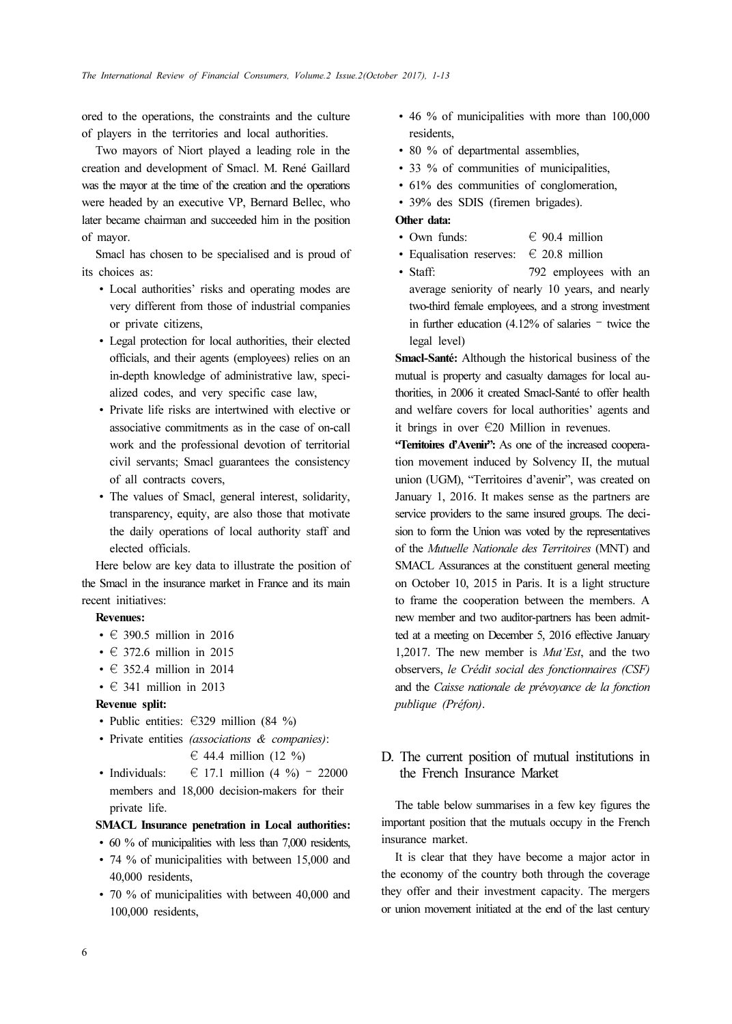ored to the operations, the constraints and the culture of players in the territories and local authorities.

Two mayors of Niort played a leading role in the creation and development of Smacl. M. René Gaillard was the mayor at the time of the creation and the operations were headed by an executive VP, Bernard Bellec, who later became chairman and succeeded him in the position of mayor.

Smacl has chosen to be specialised and is proud of its choices as:

- ∙ Local authorities' risks and operating modes are very different from those of industrial companies or private citizens,
- ∙ Legal protection for local authorities, their elected officials, and their agents (employees) relies on an in-depth knowledge of administrative law, specialized codes, and very specific case law,
- ∙ Private life risks are intertwined with elective or associative commitments as in the case of on-call work and the professional devotion of territorial civil servants; Smacl guarantees the consistency of all contracts covers,
- ∙ The values of Smacl, general interest, solidarity, transparency, equity, are also those that motivate the daily operations of local authority staff and elected officials.

Here below are key data to illustrate the position of the Smacl in the insurance market in France and its main recent initiatives:

### Revenues:

- ∙ € 390.5 million in 2016
- ∙ € 372.6 million in 2015
- ∙ € 352.4 million in 2014
- ∙ € 341 million in 2013

#### Revenue split:

- ∙ Public entities: €329 million (84 %)
- ∙ Private entities (associations & companies):  $\in$  44.4 million (12 %)
- ∙ Individuals: € 17.1 million (4 %) 22000 members and 18,000 decision-makers for their private life.

#### SMACL Insurance penetration in Local authorities:

- ∙60 % of municipalities with less than 7,000 residents,
- ∙ 74 % of municipalities with between 15,000 and 40,000 residents,
- ∙ 70 % of municipalities with between 40,000 and 100,000 residents,
- ∙ 46 % of municipalities with more than 100,000 residents,
- ∙ 80 % of departmental assemblies,
- ∙ 33 % of communities of municipalities,
- ∙ 61% des communities of conglomeration,
- ∙ 39% des SDIS (firemen brigades).

### Other data:

- ∙ Own funds: € 90.4 million
- ∙ Equalisation reserves: € 20.8 million
- ∙ Staff: 792 employees with an average seniority of nearly 10 years, and nearly two-third female employees, and a strong investment in further education (4.12% of salaries – twice the legal level)

Smacl-Santé: Although the historical business of the mutual is property and casualty damages for local authorities, in 2006 it created Smacl-Santé to offer health and welfare covers for local authorities' agents and it brings in over €20 Million in revenues.

"Territoires d'Avenir": As one of the increased cooperation movement induced by Solvency II, the mutual union (UGM), "Territoires d'avenir", was created on January 1, 2016. It makes sense as the partners are service providers to the same insured groups. The decision to form the Union was voted by the representatives of the Mutuelle Nationale des Territoires (MNT) and SMACL Assurances at the constituent general meeting on October 10, 2015 in Paris. It is a light structure to frame the cooperation between the members. A new member and two auditor-partners has been admitted at a meeting on December 5, 2016 effective January 1,2017. The new member is Mut'Est, and the two observers, le Crédit social des fonctionnaires (CSF) and the Caisse nationale de prévoyance de la fonction publique (Préfon).

### D. The current position of mutual institutions in the French Insurance Market

The table below summarises in a few key figures the important position that the mutuals occupy in the French insurance market.

It is clear that they have become a major actor in the economy of the country both through the coverage they offer and their investment capacity. The mergers or union movement initiated at the end of the last century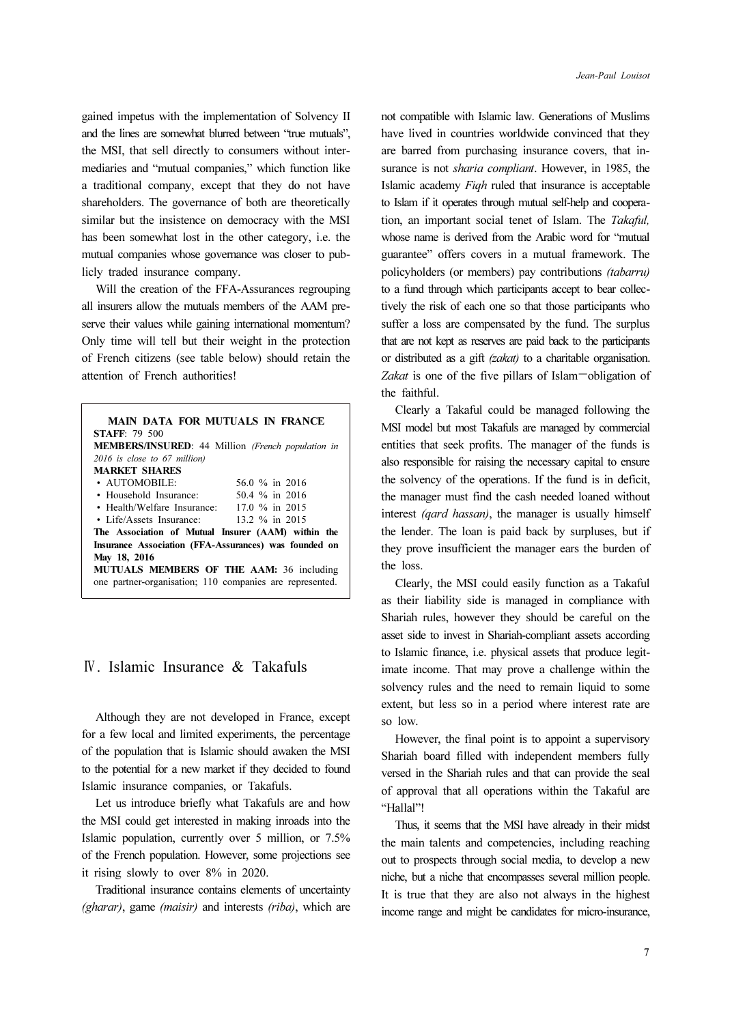gained impetus with the implementation of Solvency II and the lines are somewhat blurred between "true mutuals", the MSI, that sell directly to consumers without intermediaries and "mutual companies," which function like a traditional company, except that they do not have shareholders. The governance of both are theoretically similar but the insistence on democracy with the MSI has been somewhat lost in the other category, i.e. the mutual companies whose governance was closer to publicly traded insurance company.

Will the creation of the FFA-Assurances regrouping all insurers allow the mutuals members of the AAM preserve their values while gaining international momentum? Only time will tell but their weight in the protection of French citizens (see table below) should retain the attention of French authorities!

| <b>MAIN DATA FOR MUTUALS IN FRANCE</b>                   |                  |
|----------------------------------------------------------|------------------|
| <b>STAFF</b> 79 500                                      |                  |
| <b>MEMBERS/INSURED:</b> 44 Million (French population in |                  |
| $2016$ is close to 67 million)                           |                  |
| <b>MARKET SHARES</b>                                     |                  |
| $\cdot$ AUTOMOBILE:                                      | 56.0 % in 2016   |
| • Household Insurance:                                   | $50.4\%$ in 2016 |
| • Health/Welfare Insurance:                              | 17.0 % in 2015   |
| • Life/Assets Insurance:                                 | 13.2 % in 2015   |
| The Association of Mutual Insurer (AAM) within the       |                  |
| Insurance Association (FFA-Assurances) was founded on    |                  |
| May 18, 2016                                             |                  |
| <b>MUTUALS MEMBERS OF THE AAM: 36 including</b>          |                  |
| one partner-organisation; 110 companies are represented. |                  |

## Ⅳ. Islamic Insurance & Takafuls

Although they are not developed in France, except for a few local and limited experiments, the percentage of the population that is Islamic should awaken the MSI to the potential for a new market if they decided to found Islamic insurance companies, or Takafuls.

Let us introduce briefly what Takafuls are and how the MSI could get interested in making inroads into the Islamic population, currently over 5 million, or 7.5% of the French population. However, some projections see it rising slowly to over 8% in 2020.

Traditional insurance contains elements of uncertainty (gharar), game (maisir) and interests (riba), which are not compatible with Islamic law. Generations of Muslims have lived in countries worldwide convinced that they are barred from purchasing insurance covers, that insurance is not *sharia compliant*. However, in 1985, the Islamic academy Fiqh ruled that insurance is acceptable to Islam if it operates through mutual self-help and cooperation, an important social tenet of Islam. The Takaful, whose name is derived from the Arabic word for "mutual guarantee" offers covers in a mutual framework. The policyholders (or members) pay contributions (tabarru) to a fund through which participants accept to bear collectively the risk of each one so that those participants who suffer a loss are compensated by the fund. The surplus that are not kept as reserves are paid back to the participants or distributed as a gift (zakat) to a charitable organisation. Zakat is one of the five pillars of Islam—obligation of the faithful.

Clearly a Takaful could be managed following the MSI model but most Takafuls are managed by commercial entities that seek profits. The manager of the funds is also responsible for raising the necessary capital to ensure the solvency of the operations. If the fund is in deficit, the manager must find the cash needed loaned without interest (qard hassan), the manager is usually himself the lender. The loan is paid back by surpluses, but if they prove insufficient the manager ears the burden of the loss.

Clearly, the MSI could easily function as a Takaful as their liability side is managed in compliance with Shariah rules, however they should be careful on the asset side to invest in Shariah-compliant assets according to Islamic finance, i.e. physical assets that produce legitimate income. That may prove a challenge within the solvency rules and the need to remain liquid to some extent, but less so in a period where interest rate are so low.

However, the final point is to appoint a supervisory Shariah board filled with independent members fully versed in the Shariah rules and that can provide the seal of approval that all operations within the Takaful are "Hallal"!

Thus, it seems that the MSI have already in their midst the main talents and competencies, including reaching out to prospects through social media, to develop a new niche, but a niche that encompasses several million people. It is true that they are also not always in the highest income range and might be candidates for micro-insurance,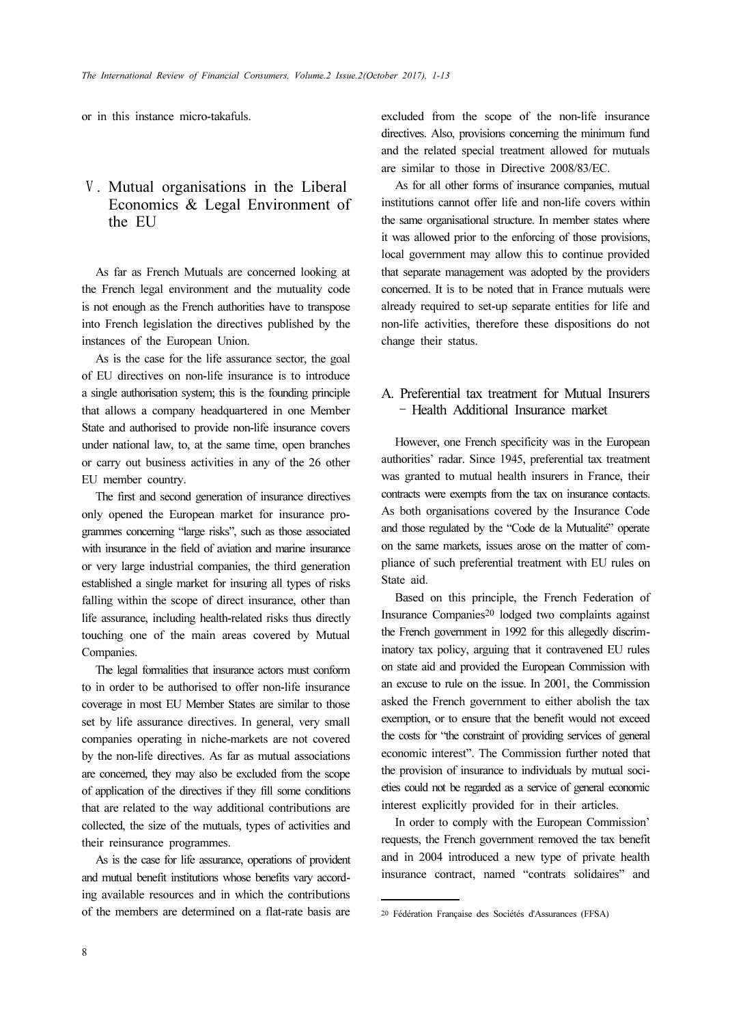or in this instance micro-takafuls.

# Ⅴ. Mutual organisations in the Liberal Economics & Legal Environment of the EU

As far as French Mutuals are concerned looking at the French legal environment and the mutuality code is not enough as the French authorities have to transpose into French legislation the directives published by the instances of the European Union.

As is the case for the life assurance sector, the goal of EU directives on non-life insurance is to introduce a single authorisation system; this is the founding principle that allows a company headquartered in one Member State and authorised to provide non-life insurance covers under national law, to, at the same time, open branches or carry out business activities in any of the 26 other EU member country.

The first and second generation of insurance directives only opened the European market for insurance programmes concerning "large risks", such as those associated with insurance in the field of aviation and marine insurance or very large industrial companies, the third generation established a single market for insuring all types of risks falling within the scope of direct insurance, other than life assurance, including health-related risks thus directly touching one of the main areas covered by Mutual Companies.

The legal formalities that insurance actors must conform to in order to be authorised to offer non-life insurance coverage in most EU Member States are similar to those set by life assurance directives. In general, very small companies operating in niche-markets are not covered by the non-life directives. As far as mutual associations are concerned, they may also be excluded from the scope of application of the directives if they fill some conditions that are related to the way additional contributions are collected, the size of the mutuals, types of activities and their reinsurance programmes.

As is the case for life assurance, operations of provident and mutual benefit institutions whose benefits vary according available resources and in which the contributions of the members are determined on a flat-rate basis are

excluded from the scope of the non-life insurance directives. Also, provisions concerning the minimum fund and the related special treatment allowed for mutuals are similar to those in Directive 2008/83/EC.

As for all other forms of insurance companies, mutual institutions cannot offer life and non-life covers within the same organisational structure. In member states where it was allowed prior to the enforcing of those provisions, local government may allow this to continue provided that separate management was adopted by the providers concerned. It is to be noted that in France mutuals were already required to set-up separate entities for life and non-life activities, therefore these dispositions do not change their status.

### A. Preferential tax treatment for Mutual Insurers – Health Additional Insurance market

However, one French specificity was in the European authorities' radar. Since 1945, preferential tax treatment was granted to mutual health insurers in France, their contracts were exempts from the tax on insurance contacts. As both organisations covered by the Insurance Code and those regulated by the "Code de la Mutualité" operate on the same markets, issues arose on the matter of compliance of such preferential treatment with EU rules on State aid.

Based on this principle, the French Federation of Insurance Companies20 lodged two complaints against the French government in 1992 for this allegedly discriminatory tax policy, arguing that it contravened EU rules on state aid and provided the European Commission with an excuse to rule on the issue. In 2001, the Commission asked the French government to either abolish the tax exemption, or to ensure that the benefit would not exceed the costs for "the constraint of providing services of general economic interest". The Commission further noted that the provision of insurance to individuals by mutual societies could not be regarded as a service of general economic interest explicitly provided for in their articles.

In order to comply with the European Commission' requests, the French government removed the tax benefit and in 2004 introduced a new type of private health insurance contract, named "contrats solidaires" and

<sup>20</sup> Fédération Française des Sociétés d'Assurances (FFSA)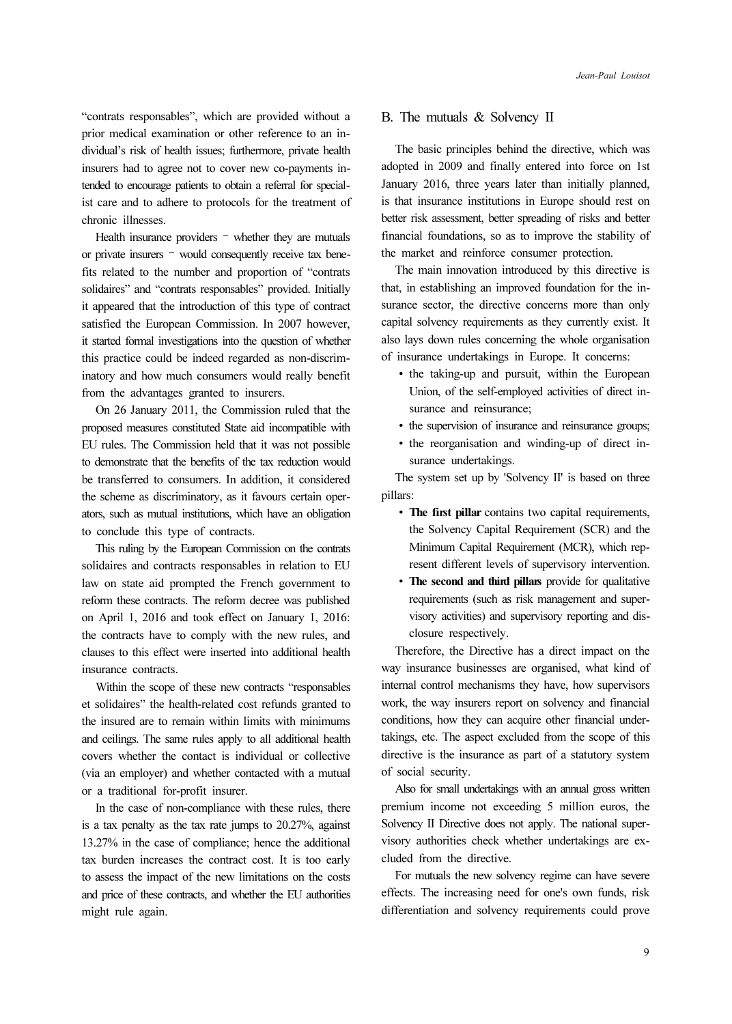"contrats responsables", which are provided without a prior medical examination or other reference to an individual's risk of health issues; furthermore, private health insurers had to agree not to cover new co-payments intended to encourage patients to obtain a referral for specialist care and to adhere to protocols for the treatment of chronic illnesses.

Health insurance providers – whether they are mutuals or private insurers – would consequently receive tax benefits related to the number and proportion of "contrats solidaires" and "contrats responsables" provided. Initially it appeared that the introduction of this type of contract satisfied the European Commission. In 2007 however, it started formal investigations into the question of whether this practice could be indeed regarded as non-discriminatory and how much consumers would really benefit from the advantages granted to insurers.

On 26 January 2011, the Commission ruled that the proposed measures constituted State aid incompatible with EU rules. The Commission held that it was not possible to demonstrate that the benefits of the tax reduction would be transferred to consumers. In addition, it considered the scheme as discriminatory, as it favours certain operators, such as mutual institutions, which have an obligation to conclude this type of contracts.

This ruling by the European Commission on the contrats solidaires and contracts responsables in relation to EU law on state aid prompted the French government to reform these contracts. The reform decree was published on April 1, 2016 and took effect on January 1, 2016: the contracts have to comply with the new rules, and clauses to this effect were inserted into additional health insurance contracts.

Within the scope of these new contracts "responsables et solidaires" the health-related cost refunds granted to the insured are to remain within limits with minimums and ceilings. The same rules apply to all additional health covers whether the contact is individual or collective (via an employer) and whether contacted with a mutual or a traditional for-profit insurer.

In the case of non-compliance with these rules, there is a tax penalty as the tax rate jumps to 20.27%, against 13.27% in the case of compliance; hence the additional tax burden increases the contract cost. It is too early to assess the impact of the new limitations on the costs and price of these contracts, and whether the EU authorities might rule again.

#### B. The mutuals & Solvency II

The basic principles behind the directive, which was adopted in 2009 and finally entered into force on 1st January 2016, three years later than initially planned, is that insurance institutions in Europe should rest on better risk assessment, better spreading of risks and better financial foundations, so as to improve the stability of the market and reinforce consumer protection.

The main innovation introduced by this directive is that, in establishing an improved foundation for the insurance sector, the directive concerns more than only capital solvency requirements as they currently exist. It also lays down rules concerning the whole organisation of insurance undertakings in Europe. It concerns:

- ∙ the taking-up and pursuit, within the European Union, of the self-employed activities of direct insurance and reinsurance;
- the supervision of insurance and reinsurance groups;
- ∙ the reorganisation and winding-up of direct insurance undertakings.

The system set up by 'Solvency II' is based on three pillars:

- The first pillar contains two capital requirements, the Solvency Capital Requirement (SCR) and the Minimum Capital Requirement (MCR), which represent different levels of supervisory intervention.
- The second and third pillars provide for qualitative requirements (such as risk management and supervisory activities) and supervisory reporting and disclosure respectively.

Therefore, the Directive has a direct impact on the way insurance businesses are organised, what kind of internal control mechanisms they have, how supervisors work, the way insurers report on solvency and financial conditions, how they can acquire other financial undertakings, etc. The aspect excluded from the scope of this directive is the insurance as part of a statutory system of social security.

Also for small undertakings with an annual gross written premium income not exceeding 5 million euros, the Solvency II Directive does not apply. The national supervisory authorities check whether undertakings are excluded from the directive.

For mutuals the new solvency regime can have severe effects. The increasing need for one's own funds, risk differentiation and solvency requirements could prove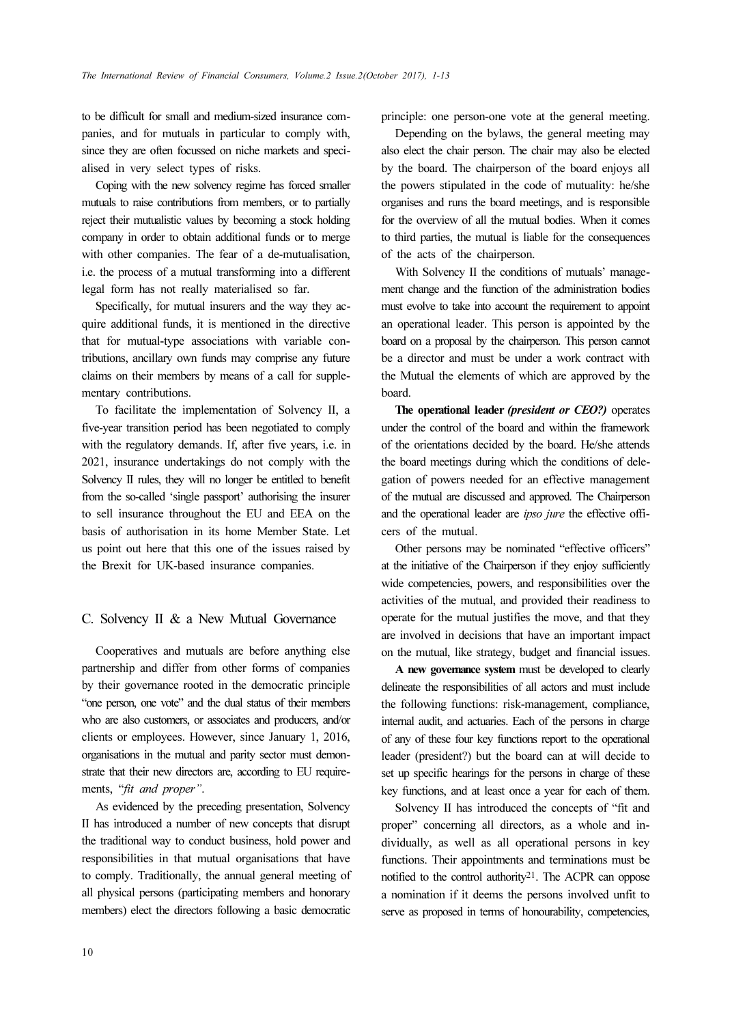to be difficult for small and medium-sized insurance companies, and for mutuals in particular to comply with, since they are often focussed on niche markets and specialised in very select types of risks.

Coping with the new solvency regime has forced smaller mutuals to raise contributions from members, or to partially reject their mutualistic values by becoming a stock holding company in order to obtain additional funds or to merge with other companies. The fear of a de-mutualisation, i.e. the process of a mutual transforming into a different legal form has not really materialised so far.

Specifically, for mutual insurers and the way they acquire additional funds, it is mentioned in the directive that for mutual-type associations with variable contributions, ancillary own funds may comprise any future claims on their members by means of a call for supplementary contributions.

To facilitate the implementation of Solvency II, a five-year transition period has been negotiated to comply with the regulatory demands. If, after five years, i.e. in 2021, insurance undertakings do not comply with the Solvency II rules, they will no longer be entitled to benefit from the so-called 'single passport' authorising the insurer to sell insurance throughout the EU and EEA on the basis of authorisation in its home Member State. Let us point out here that this one of the issues raised by the Brexit for UK-based insurance companies.

### C. Solvency II & a New Mutual Governance

Cooperatives and mutuals are before anything else partnership and differ from other forms of companies by their governance rooted in the democratic principle "one person, one vote" and the dual status of their members who are also customers, or associates and producers, and/or clients or employees. However, since January 1, 2016, organisations in the mutual and parity sector must demonstrate that their new directors are, according to EU requirements, "fit and proper".

As evidenced by the preceding presentation, Solvency II has introduced a number of new concepts that disrupt the traditional way to conduct business, hold power and responsibilities in that mutual organisations that have to comply. Traditionally, the annual general meeting of all physical persons (participating members and honorary members) elect the directors following a basic democratic

principle: one person-one vote at the general meeting.

Depending on the bylaws, the general meeting may also elect the chair person. The chair may also be elected by the board. The chairperson of the board enjoys all the powers stipulated in the code of mutuality: he/she organises and runs the board meetings, and is responsible for the overview of all the mutual bodies. When it comes to third parties, the mutual is liable for the consequences of the acts of the chairperson.

With Solvency II the conditions of mutuals' management change and the function of the administration bodies must evolve to take into account the requirement to appoint an operational leader. This person is appointed by the board on a proposal by the chairperson. This person cannot be a director and must be under a work contract with the Mutual the elements of which are approved by the board.

The operational leader *(president or CEO?)* operates under the control of the board and within the framework of the orientations decided by the board. He/she attends the board meetings during which the conditions of delegation of powers needed for an effective management of the mutual are discussed and approved. The Chairperson and the operational leader are ipso jure the effective officers of the mutual.

Other persons may be nominated "effective officers" at the initiative of the Chairperson if they enjoy sufficiently wide competencies, powers, and responsibilities over the activities of the mutual, and provided their readiness to operate for the mutual justifies the move, and that they are involved in decisions that have an important impact on the mutual, like strategy, budget and financial issues.

A new governance system must be developed to clearly delineate the responsibilities of all actors and must include the following functions: risk-management, compliance, internal audit, and actuaries. Each of the persons in charge of any of these four key functions report to the operational leader (president?) but the board can at will decide to set up specific hearings for the persons in charge of these key functions, and at least once a year for each of them.

Solvency II has introduced the concepts of "fit and proper" concerning all directors, as a whole and individually, as well as all operational persons in key functions. Their appointments and terminations must be notified to the control authority21. The ACPR can oppose a nomination if it deems the persons involved unfit to serve as proposed in terms of honourability, competencies,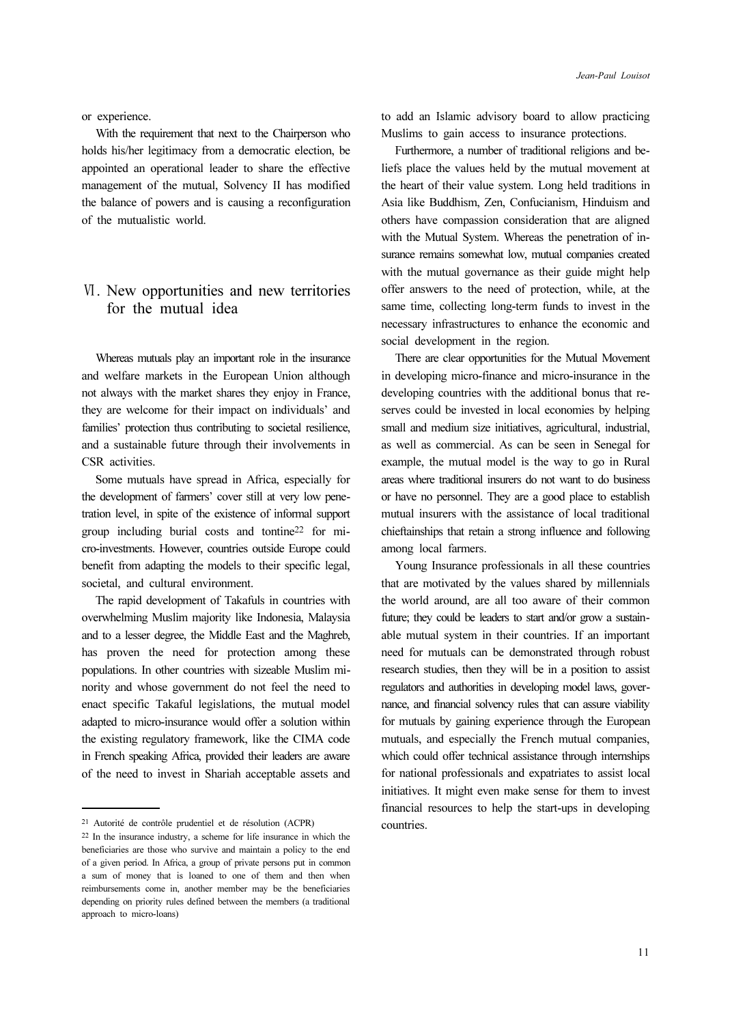or experience.

With the requirement that next to the Chairperson who holds his/her legitimacy from a democratic election, be appointed an operational leader to share the effective management of the mutual, Solvency II has modified the balance of powers and is causing a reconfiguration of the mutualistic world.

# Ⅵ. New opportunities and new territories for the mutual idea

Whereas mutuals play an important role in the insurance and welfare markets in the European Union although not always with the market shares they enjoy in France, they are welcome for their impact on individuals' and families' protection thus contributing to societal resilience, and a sustainable future through their involvements in CSR activities.

Some mutuals have spread in Africa, especially for the development of farmers' cover still at very low penetration level, in spite of the existence of informal support group including burial costs and tontine22 for micro-investments. However, countries outside Europe could benefit from adapting the models to their specific legal, societal, and cultural environment.

The rapid development of Takafuls in countries with overwhelming Muslim majority like Indonesia, Malaysia and to a lesser degree, the Middle East and the Maghreb, has proven the need for protection among these populations. In other countries with sizeable Muslim minority and whose government do not feel the need to enact specific Takaful legislations, the mutual model adapted to micro-insurance would offer a solution within the existing regulatory framework, like the CIMA code in French speaking Africa, provided their leaders are aware of the need to invest in Shariah acceptable assets and to add an Islamic advisory board to allow practicing Muslims to gain access to insurance protections.

Furthermore, a number of traditional religions and beliefs place the values held by the mutual movement at the heart of their value system. Long held traditions in Asia like Buddhism, Zen, Confucianism, Hinduism and others have compassion consideration that are aligned with the Mutual System. Whereas the penetration of insurance remains somewhat low, mutual companies created with the mutual governance as their guide might help offer answers to the need of protection, while, at the same time, collecting long-term funds to invest in the necessary infrastructures to enhance the economic and social development in the region.

There are clear opportunities for the Mutual Movement in developing micro-finance and micro-insurance in the developing countries with the additional bonus that reserves could be invested in local economies by helping small and medium size initiatives, agricultural, industrial, as well as commercial. As can be seen in Senegal for example, the mutual model is the way to go in Rural areas where traditional insurers do not want to do business or have no personnel. They are a good place to establish mutual insurers with the assistance of local traditional chieftainships that retain a strong influence and following among local farmers.

Young Insurance professionals in all these countries that are motivated by the values shared by millennials the world around, are all too aware of their common future; they could be leaders to start and/or grow a sustainable mutual system in their countries. If an important need for mutuals can be demonstrated through robust research studies, then they will be in a position to assist regulators and authorities in developing model laws, governance, and financial solvency rules that can assure viability for mutuals by gaining experience through the European mutuals, and especially the French mutual companies, which could offer technical assistance through internships for national professionals and expatriates to assist local initiatives. It might even make sense for them to invest financial resources to help the start-ups in developing countries.

<sup>21</sup> Autorité de contrôle prudentiel et de résolution (ACPR)

<sup>22</sup> In the insurance industry, a scheme for life insurance in which the beneficiaries are those who survive and maintain a policy to the end of a given period. In Africa, a group of private persons put in common a sum of money that is loaned to one of them and then when reimbursements come in, another member may be the beneficiaries depending on priority rules defined between the members (a traditional approach to micro-loans)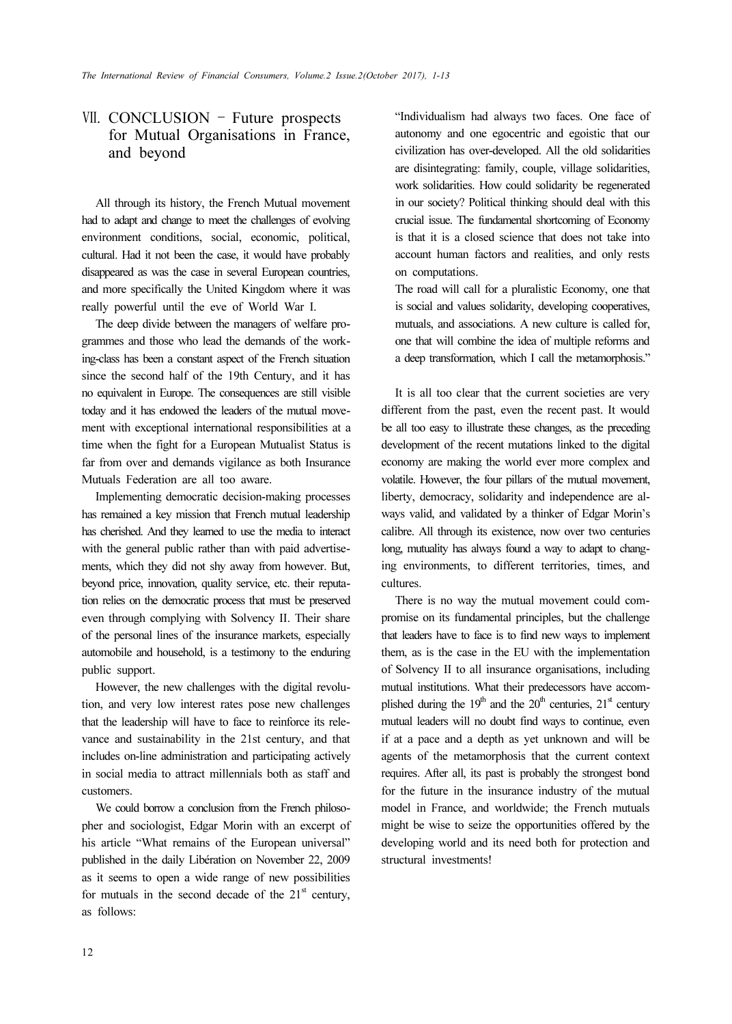# Ⅶ. CONCLUSION – Future prospects for Mutual Organisations in France, and beyond

All through its history, the French Mutual movement had to adapt and change to meet the challenges of evolving environment conditions, social, economic, political, cultural. Had it not been the case, it would have probably disappeared as was the case in several European countries, and more specifically the United Kingdom where it was really powerful until the eve of World War I.

The deep divide between the managers of welfare programmes and those who lead the demands of the working-class has been a constant aspect of the French situation since the second half of the 19th Century, and it has no equivalent in Europe. The consequences are still visible today and it has endowed the leaders of the mutual movement with exceptional international responsibilities at a time when the fight for a European Mutualist Status is far from over and demands vigilance as both Insurance Mutuals Federation are all too aware.

Implementing democratic decision-making processes has remained a key mission that French mutual leadership has cherished. And they learned to use the media to interact with the general public rather than with paid advertisements, which they did not shy away from however. But, beyond price, innovation, quality service, etc. their reputation relies on the democratic process that must be preserved even through complying with Solvency II. Their share of the personal lines of the insurance markets, especially automobile and household, is a testimony to the enduring public support.

However, the new challenges with the digital revolution, and very low interest rates pose new challenges that the leadership will have to face to reinforce its relevance and sustainability in the 21st century, and that includes on-line administration and participating actively in social media to attract millennials both as staff and customers.

We could borrow a conclusion from the French philosopher and sociologist, Edgar Morin with an excerpt of his article "What remains of the European universal" published in the daily Libération on November 22, 2009 as it seems to open a wide range of new possibilities for mutuals in the second decade of the  $21<sup>st</sup>$  century, as follows:

"Individualism had always two faces. One face of autonomy and one egocentric and egoistic that our civilization has over-developed. All the old solidarities are disintegrating: family, couple, village solidarities, work solidarities. How could solidarity be regenerated in our society? Political thinking should deal with this crucial issue. The fundamental shortcoming of Economy is that it is a closed science that does not take into account human factors and realities, and only rests on computations.

The road will call for a pluralistic Economy, one that is social and values solidarity, developing cooperatives, mutuals, and associations. A new culture is called for, one that will combine the idea of multiple reforms and a deep transformation, which I call the metamorphosis."

It is all too clear that the current societies are very different from the past, even the recent past. It would be all too easy to illustrate these changes, as the preceding development of the recent mutations linked to the digital economy are making the world ever more complex and volatile. However, the four pillars of the mutual movement, liberty, democracy, solidarity and independence are always valid, and validated by a thinker of Edgar Morin's calibre. All through its existence, now over two centuries long, mutuality has always found a way to adapt to changing environments, to different territories, times, and cultures.

There is no way the mutual movement could compromise on its fundamental principles, but the challenge that leaders have to face is to find new ways to implement them, as is the case in the EU with the implementation of Solvency II to all insurance organisations, including mutual institutions. What their predecessors have accomplished during the  $19<sup>th</sup>$  and the  $20<sup>th</sup>$  centuries,  $21<sup>st</sup>$  century mutual leaders will no doubt find ways to continue, even if at a pace and a depth as yet unknown and will be agents of the metamorphosis that the current context requires. After all, its past is probably the strongest bond for the future in the insurance industry of the mutual model in France, and worldwide; the French mutuals might be wise to seize the opportunities offered by the developing world and its need both for protection and structural investments!